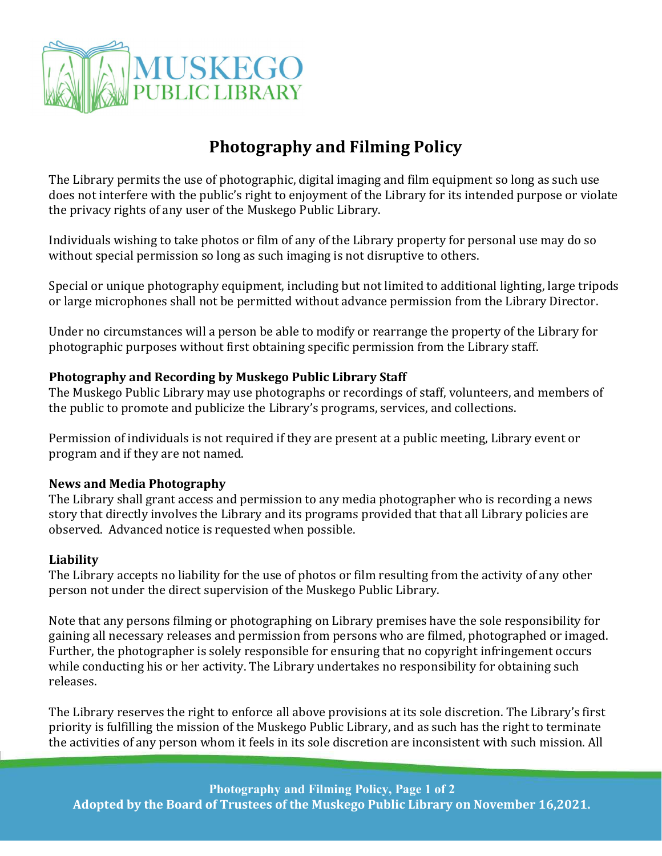

## Photography and Filming Policy

The Library permits the use of photographic, digital imaging and film equipment so long as such use does not interfere with the public's right to enjoyment of the Library for its intended purpose or violate the privacy rights of any user of the Muskego Public Library.

Individuals wishing to take photos or film of any of the Library property for personal use may do so without special permission so long as such imaging is not disruptive to others.

Special or unique photography equipment, including but not limited to additional lighting, large tripods or large microphones shall not be permitted without advance permission from the Library Director.

Under no circumstances will a person be able to modify or rearrange the property of the Library for photographic purposes without first obtaining specific permission from the Library staff.

## Photography and Recording by Muskego Public Library Staff

The Muskego Public Library may use photographs or recordings of staff, volunteers, and members of the public to promote and publicize the Library's programs, services, and collections.

Permission of individuals is not required if they are present at a public meeting, Library event or program and if they are not named.

## News and Media Photography

The Library shall grant access and permission to any media photographer who is recording a news story that directly involves the Library and its programs provided that that all Library policies are observed. Advanced notice is requested when possible.

## Liability

The Library accepts no liability for the use of photos or film resulting from the activity of any other person not under the direct supervision of the Muskego Public Library.

Note that any persons filming or photographing on Library premises have the sole responsibility for gaining all necessary releases and permission from persons who are filmed, photographed or imaged. Further, the photographer is solely responsible for ensuring that no copyright infringement occurs while conducting his or her activity. The Library undertakes no responsibility for obtaining such releases.

The Library reserves the right to enforce all above provisions at its sole discretion. The Library's first priority is fulfilling the mission of the Muskego Public Library, and as such has the right to terminate the activities of any person whom it feels in its sole discretion are inconsistent with such mission. All

Photography and Filming Policy, Page 1 of 2 Adopted by the Board of Trustees of the Muskego Public Library on November 16,2021.